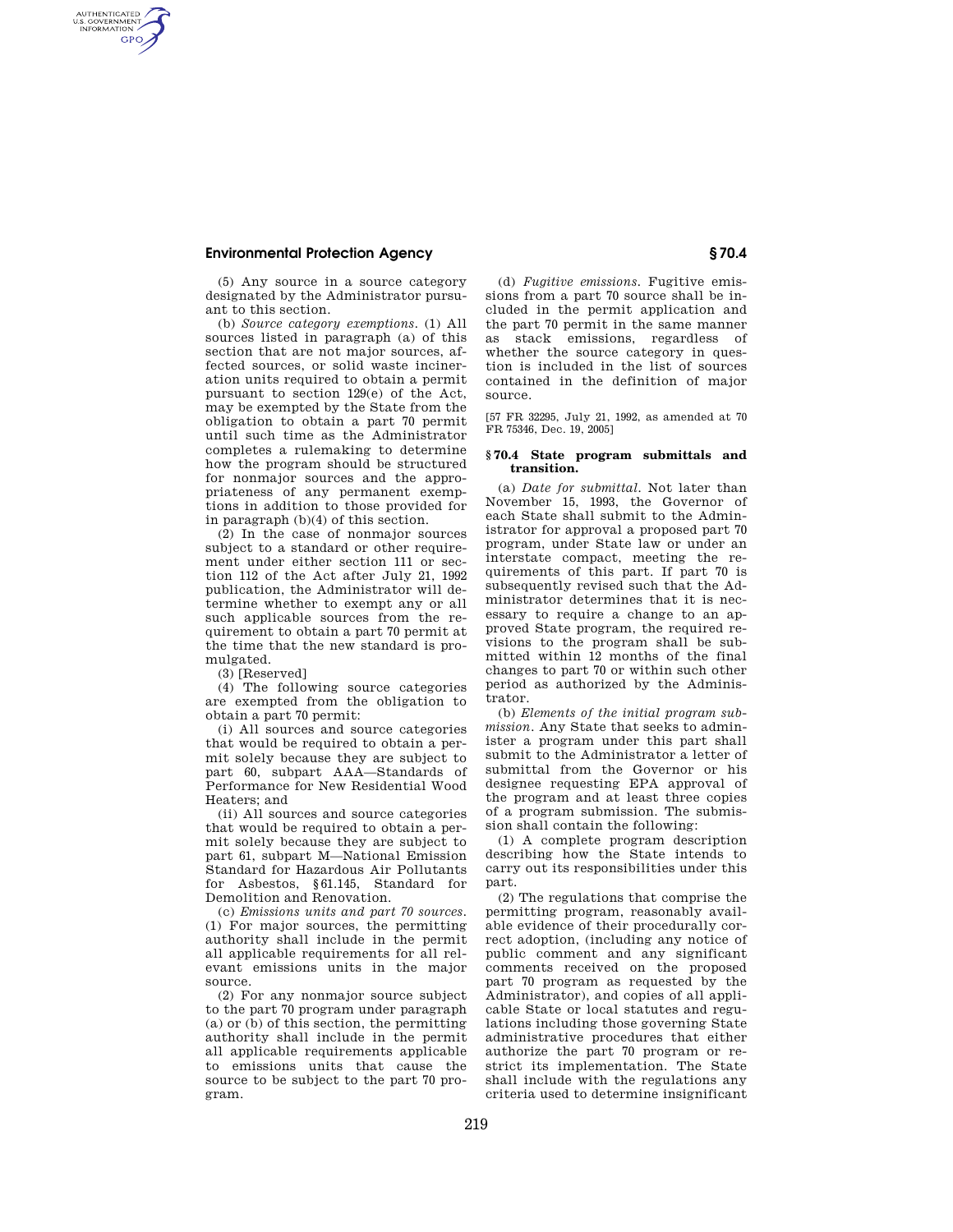AUTHENTICATED<br>U.S. GOVERNMENT<br>INFORMATION **GPO** 

> (5) Any source in a source category designated by the Administrator pursuant to this section.

(b) *Source category exemptions.* (1) All sources listed in paragraph (a) of this section that are not major sources, affected sources, or solid waste incineration units required to obtain a permit pursuant to section 129(e) of the Act, may be exempted by the State from the obligation to obtain a part 70 permit until such time as the Administrator completes a rulemaking to determine how the program should be structured for nonmajor sources and the appropriateness of any permanent exemptions in addition to those provided for in paragraph (b)(4) of this section.

(2) In the case of nonmajor sources subject to a standard or other requirement under either section 111 or section 112 of the Act after July 21, 1992 publication, the Administrator will determine whether to exempt any or all such applicable sources from the requirement to obtain a part 70 permit at the time that the new standard is promulgated.

(3) [Reserved]

(4) The following source categories are exempted from the obligation to obtain a part 70 permit:

(i) All sources and source categories that would be required to obtain a permit solely because they are subject to part 60, subpart AAA—Standards of Performance for New Residential Wood Heaters; and

(ii) All sources and source categories that would be required to obtain a permit solely because they are subject to part 61, subpart M—National Emission Standard for Hazardous Air Pollutants for Asbestos, §61.145, Standard for Demolition and Renovation.

(c) *Emissions units and part 70 sources.*  (1) For major sources, the permitting authority shall include in the permit all applicable requirements for all relevant emissions units in the major source.

(2) For any nonmajor source subject to the part 70 program under paragraph  $(a)$  or  $(b)$  of this section, the permitting authority shall include in the permit all applicable requirements applicable to emissions units that cause the source to be subject to the part 70 program.

(d) *Fugitive emissions.* Fugitive emissions from a part 70 source shall be included in the permit application and the part 70 permit in the same manner as stack emissions, regardless of whether the source category in question is included in the list of sources contained in the definition of major source.

[57 FR 32295, July 21, 1992, as amended at 70 FR 75346, Dec. 19, 2005]

#### **§ 70.4 State program submittals and transition.**

(a) *Date for submittal.* Not later than November 15, 1993, the Governor of each State shall submit to the Administrator for approval a proposed part 70 program, under State law or under an interstate compact, meeting the requirements of this part. If part 70 is subsequently revised such that the Administrator determines that it is necessary to require a change to an approved State program, the required revisions to the program shall be submitted within 12 months of the final changes to part 70 or within such other period as authorized by the Administrator.

(b) *Elements of the initial program submission.* Any State that seeks to administer a program under this part shall submit to the Administrator a letter of submittal from the Governor or his designee requesting EPA approval of the program and at least three copies of a program submission. The submission shall contain the following:

(1) A complete program description describing how the State intends to carry out its responsibilities under this part.

(2) The regulations that comprise the permitting program, reasonably available evidence of their procedurally correct adoption, (including any notice of public comment and any significant comments received on the proposed part 70 program as requested by the Administrator), and copies of all applicable State or local statutes and regulations including those governing State administrative procedures that either authorize the part 70 program or restrict its implementation. The State shall include with the regulations any criteria used to determine insignificant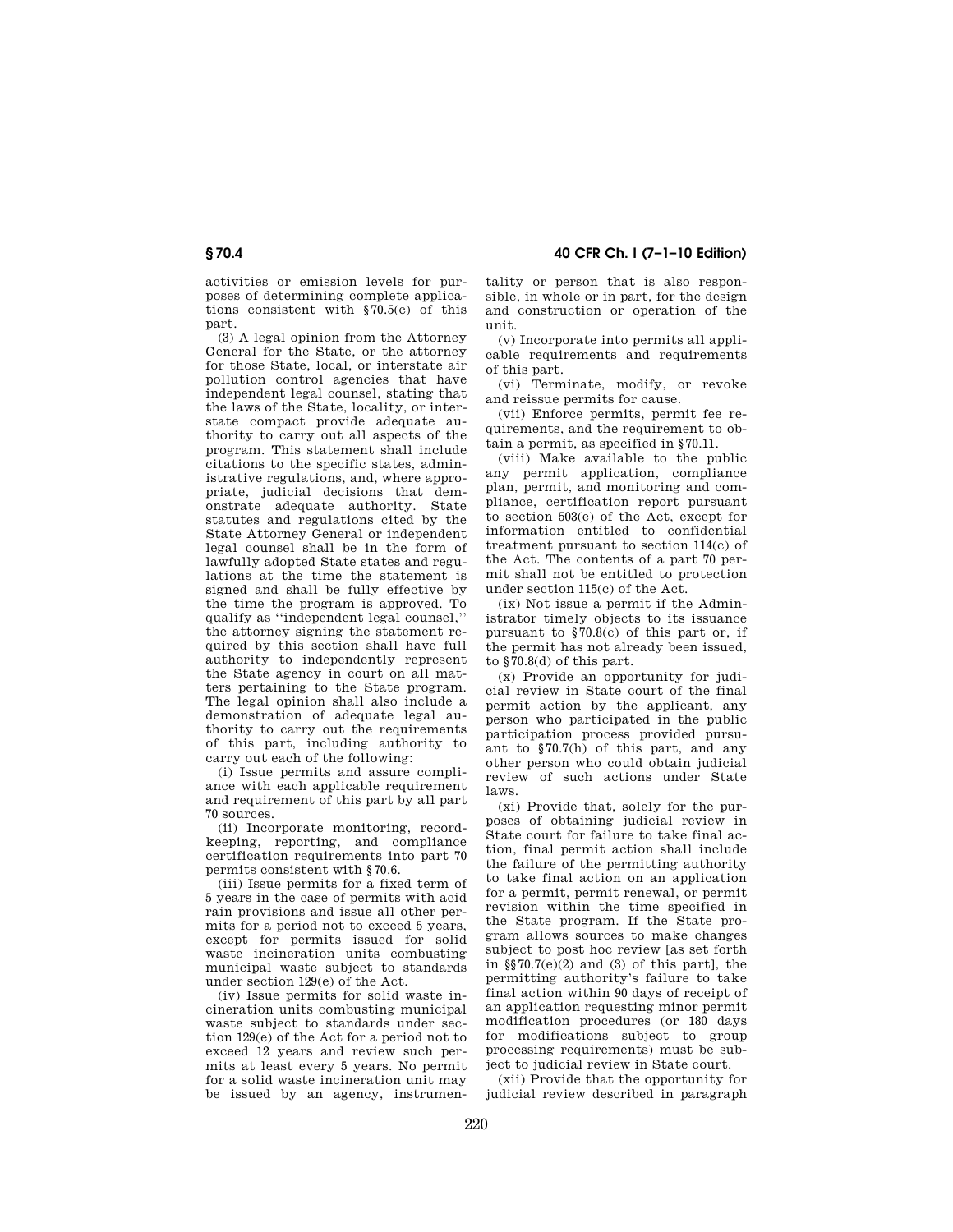**§ 70.4 40 CFR Ch. I (7–1–10 Edition)** 

activities or emission levels for purposes of determining complete applications consistent with §70.5(c) of this part.

(3) A legal opinion from the Attorney General for the State, or the attorney for those State, local, or interstate air pollution control agencies that have independent legal counsel, stating that the laws of the State, locality, or interstate compact provide adequate authority to carry out all aspects of the program. This statement shall include citations to the specific states, administrative regulations, and, where appropriate, judicial decisions that demonstrate adequate authority. State statutes and regulations cited by the State Attorney General or independent legal counsel shall be in the form of lawfully adopted State states and regulations at the time the statement is signed and shall be fully effective by the time the program is approved. To qualify as ''independent legal counsel,'' the attorney signing the statement required by this section shall have full authority to independently represent the State agency in court on all matters pertaining to the State program. The legal opinion shall also include a demonstration of adequate legal authority to carry out the requirements of this part, including authority to carry out each of the following:

(i) Issue permits and assure compliance with each applicable requirement and requirement of this part by all part 70 sources.

(ii) Incorporate monitoring, recordkeeping, reporting, and compliance certification requirements into part 70 permits consistent with §70.6.

(iii) Issue permits for a fixed term of 5 years in the case of permits with acid rain provisions and issue all other permits for a period not to exceed 5 years, except for permits issued for solid waste incineration units combusting municipal waste subject to standards under section 129(e) of the Act.

(iv) Issue permits for solid waste incineration units combusting municipal waste subject to standards under section 129(e) of the Act for a period not to exceed 12 years and review such permits at least every 5 years. No permit for a solid waste incineration unit may be issued by an agency, instrumen-

tality or person that is also responsible, in whole or in part, for the design and construction or operation of the unit.

(v) Incorporate into permits all applicable requirements and requirements of this part.

(vi) Terminate, modify, or revoke and reissue permits for cause.

(vii) Enforce permits, permit fee requirements, and the requirement to obtain a permit, as specified in §70.11.

(viii) Make available to the public any permit application, compliance plan, permit, and monitoring and compliance, certification report pursuant to section 503(e) of the Act, except for information entitled to confidential treatment pursuant to section 114(c) of the Act. The contents of a part 70 permit shall not be entitled to protection under section 115(c) of the Act.

(ix) Not issue a permit if the Administrator timely objects to its issuance pursuant to §70.8(c) of this part or, if the permit has not already been issued, to §70.8(d) of this part.

(x) Provide an opportunity for judicial review in State court of the final permit action by the applicant, any person who participated in the public participation process provided pursuant to §70.7(h) of this part, and any other person who could obtain judicial review of such actions under State laws.

(xi) Provide that, solely for the purposes of obtaining judicial review in State court for failure to take final action, final permit action shall include the failure of the permitting authority to take final action on an application for a permit, permit renewal, or permit revision within the time specified in the State program. If the State program allows sources to make changes subject to post hoc review [as set forth in §§70.7(e)(2) and (3) of this part], the permitting authority's failure to take final action within 90 days of receipt of an application requesting minor permit modification procedures (or 180 days for modifications subject to group processing requirements) must be subject to judicial review in State court.

(xii) Provide that the opportunity for judicial review described in paragraph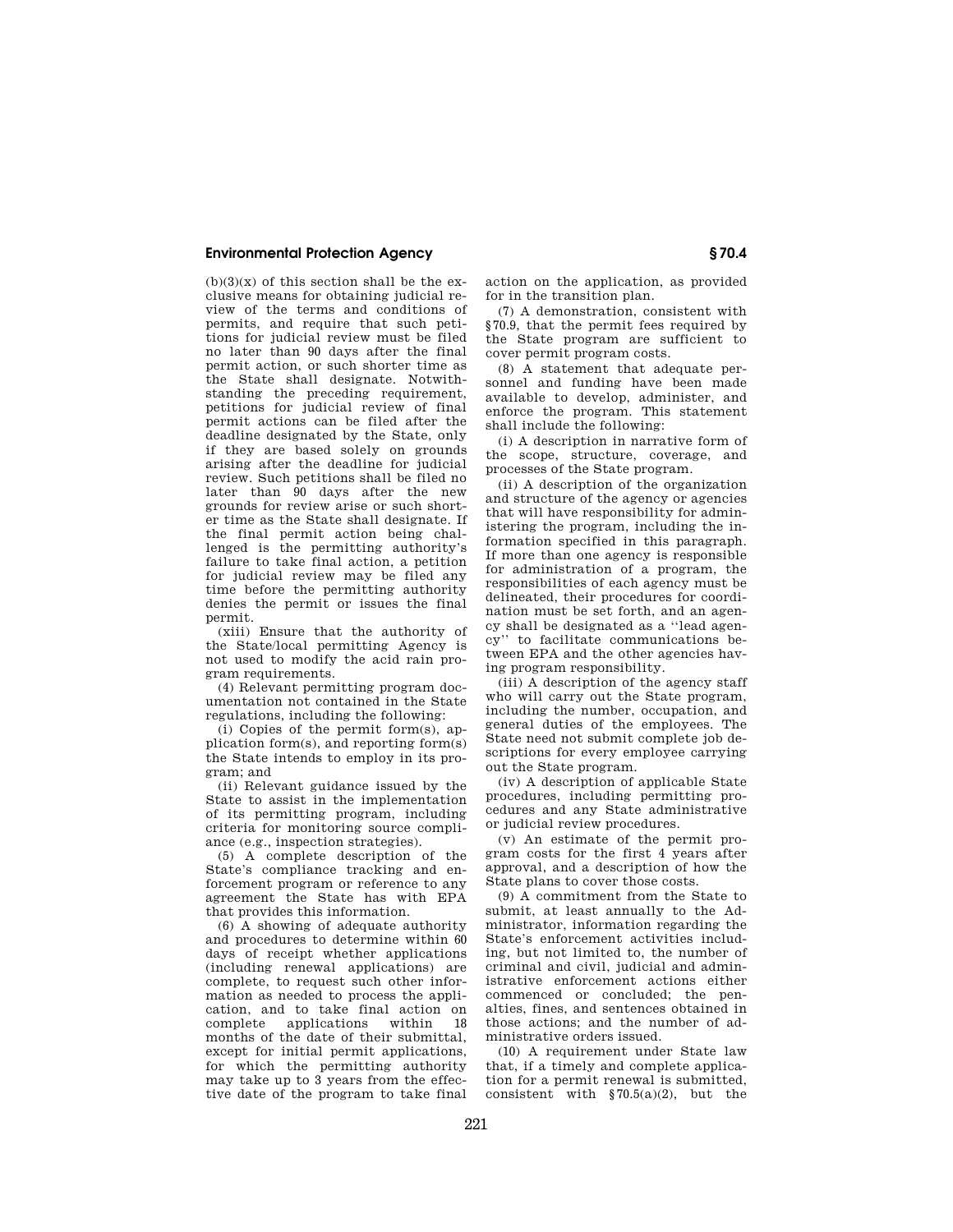$(b)(3)(x)$  of this section shall be the exclusive means for obtaining judicial review of the terms and conditions of permits, and require that such petitions for judicial review must be filed no later than 90 days after the final permit action, or such shorter time as the State shall designate. Notwithstanding the preceding requirement, petitions for judicial review of final permit actions can be filed after the .<br>deadline designated by the State, only if they are based solely on grounds arising after the deadline for judicial review. Such petitions shall be filed no later than 90 days after the new grounds for review arise or such shorter time as the State shall designate. If the final permit action being challenged is the permitting authority's failure to take final action, a petition for judicial review may be filed any time before the permitting authority denies the permit or issues the final permit.

(xiii) Ensure that the authority of the State/local permitting Agency is not used to modify the acid rain program requirements.

(4) Relevant permitting program documentation not contained in the State regulations, including the following:

(i) Copies of the permit form(s), application form(s), and reporting form(s) the State intends to employ in its program; and

(ii) Relevant guidance issued by the State to assist in the implementation of its permitting program, including criteria for monitoring source compliance (e.g., inspection strategies).

(5) A complete description of the State's compliance tracking and enforcement program or reference to any agreement the State has with EPA that provides this information.

(6) A showing of adequate authority and procedures to determine within 60 days of receipt whether applications (including renewal applications) are complete, to request such other information as needed to process the application, and to take final action on applications months of the date of their submittal, except for initial permit applications, for which the permitting authority may take up to 3 years from the effective date of the program to take final

action on the application, as provided for in the transition plan.

(7) A demonstration, consistent with §70.9, that the permit fees required by the State program are sufficient to cover permit program costs.

(8) A statement that adequate personnel and funding have been made available to develop, administer, and enforce the program. This statement shall include the following:

(i) A description in narrative form of the scope, structure, coverage, and processes of the State program.

(ii) A description of the organization and structure of the agency or agencies that will have responsibility for administering the program, including the information specified in this paragraph. If more than one agency is responsible for administration of a program, the responsibilities of each agency must be delineated, their procedures for coordination must be set forth, and an agency shall be designated as a ''lead agency'' to facilitate communications between EPA and the other agencies having program responsibility.

(iii) A description of the agency staff who will carry out the State program, including the number, occupation, and general duties of the employees. The State need not submit complete job descriptions for every employee carrying out the State program.

(iv) A description of applicable State procedures, including permitting procedures and any State administrative or judicial review procedures.

(v) An estimate of the permit program costs for the first 4 years after approval, and a description of how the State plans to cover those costs.

(9) A commitment from the State to submit, at least annually to the Administrator, information regarding the State's enforcement activities including, but not limited to, the number of criminal and civil, judicial and administrative enforcement actions either commenced or concluded; the penalties, fines, and sentences obtained in those actions; and the number of administrative orders issued.

(10) A requirement under State law that, if a timely and complete application for a permit renewal is submitted, consistent with  $\S 70.5(a)(2)$ , but the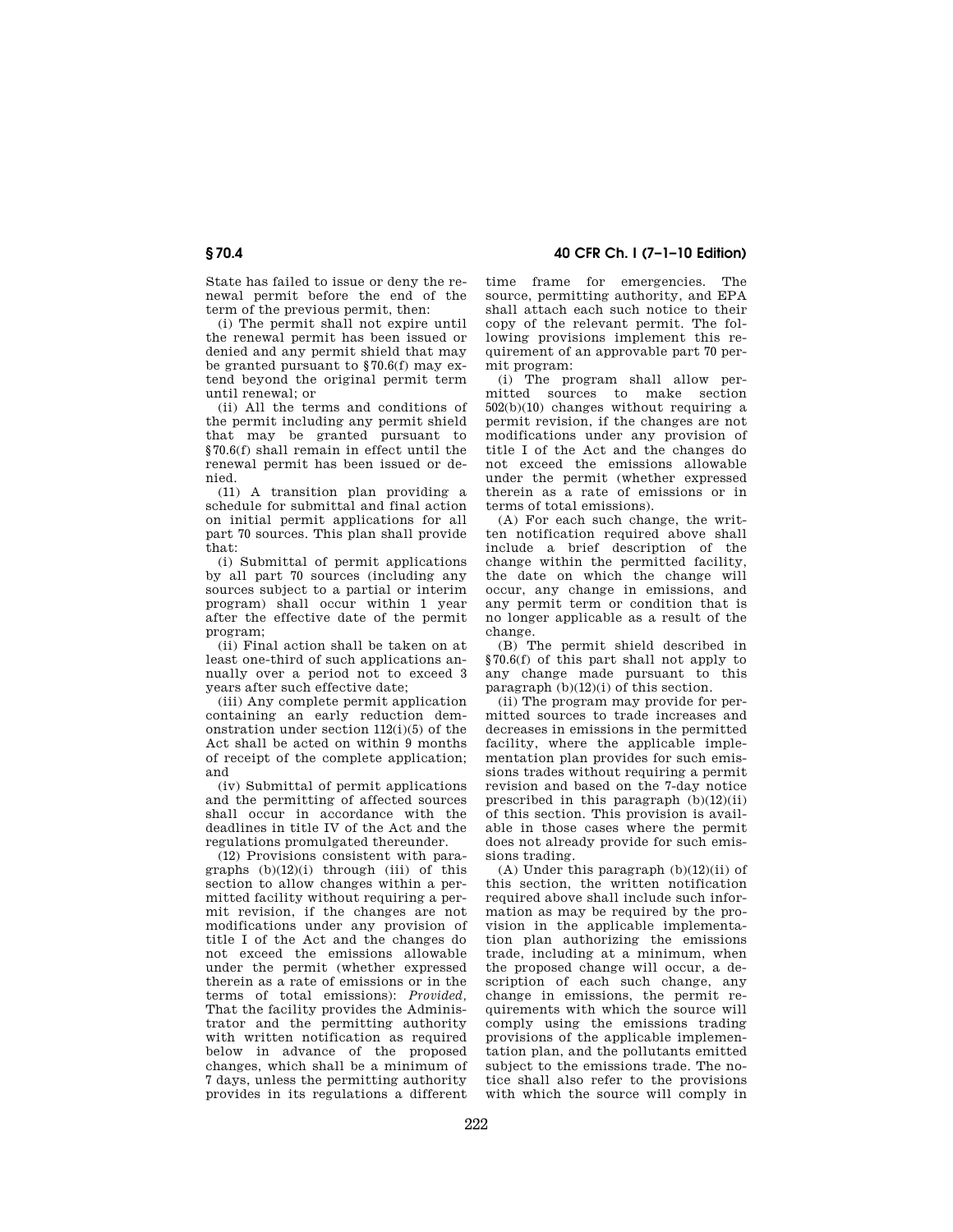State has failed to issue or deny the renewal permit before the end of the term of the previous permit, then:

(i) The permit shall not expire until the renewal permit has been issued or denied and any permit shield that may be granted pursuant to §70.6(f) may extend beyond the original permit term until renewal; or

(ii) All the terms and conditions of the permit including any permit shield that may be granted pursuant to §70.6(f) shall remain in effect until the renewal permit has been issued or denied.

(11) A transition plan providing a schedule for submittal and final action on initial permit applications for all part 70 sources. This plan shall provide that:

(i) Submittal of permit applications by all part 70 sources (including any sources subject to a partial or interim program) shall occur within 1 year after the effective date of the permit program;

(ii) Final action shall be taken on at least one-third of such applications annually over a period not to exceed 3 years after such effective date;

(iii) Any complete permit application containing an early reduction demonstration under section 112(i)(5) of the Act shall be acted on within 9 months of receipt of the complete application; and

(iv) Submittal of permit applications and the permitting of affected sources shall occur in accordance with the deadlines in title IV of the Act and the regulations promulgated thereunder.

(12) Provisions consistent with paragraphs  $(b)(12)(i)$  through (iii) of this section to allow changes within a permitted facility without requiring a permit revision, if the changes are not modifications under any provision of title I of the Act and the changes do not exceed the emissions allowable under the permit (whether expressed therein as a rate of emissions or in the terms of total emissions): *Provided,*  That the facility provides the Administrator and the permitting authority with written notification as required below in advance of the proposed changes, which shall be a minimum of 7 days, unless the permitting authority provides in its regulations a different

**§ 70.4 40 CFR Ch. I (7–1–10 Edition)** 

time frame for emergencies. The source, permitting authority, and EPA shall attach each such notice to their copy of the relevant permit. The following provisions implement this requirement of an approvable part 70 permit program:

(i) The program shall allow permitted sources to make section  $502(b)(10)$  changes without requiring a permit revision, if the changes are not modifications under any provision of title I of the Act and the changes do not exceed the emissions allowable under the permit (whether expressed therein as a rate of emissions or in terms of total emissions).

(A) For each such change, the written notification required above shall include a brief description of the change within the permitted facility, the date on which the change will occur, any change in emissions, and any permit term or condition that is no longer applicable as a result of the change.

(B) The permit shield described in §70.6(f) of this part shall not apply to any change made pursuant to this paragraph  $(b)(12)(i)$  of this section.

(ii) The program may provide for permitted sources to trade increases and decreases in emissions in the permitted facility, where the applicable implementation plan provides for such emissions trades without requiring a permit revision and based on the 7-day notice prescribed in this paragraph  $(b)(12)(ii)$ of this section. This provision is available in those cases where the permit does not already provide for such emissions trading.

(A) Under this paragraph  $(b)(12)(ii)$  of this section, the written notification required above shall include such information as may be required by the provision in the applicable implementation plan authorizing the emissions trade, including at a minimum, when the proposed change will occur, a description of each such change, any change in emissions, the permit requirements with which the source will comply using the emissions trading provisions of the applicable implementation plan, and the pollutants emitted subject to the emissions trade. The notice shall also refer to the provisions with which the source will comply in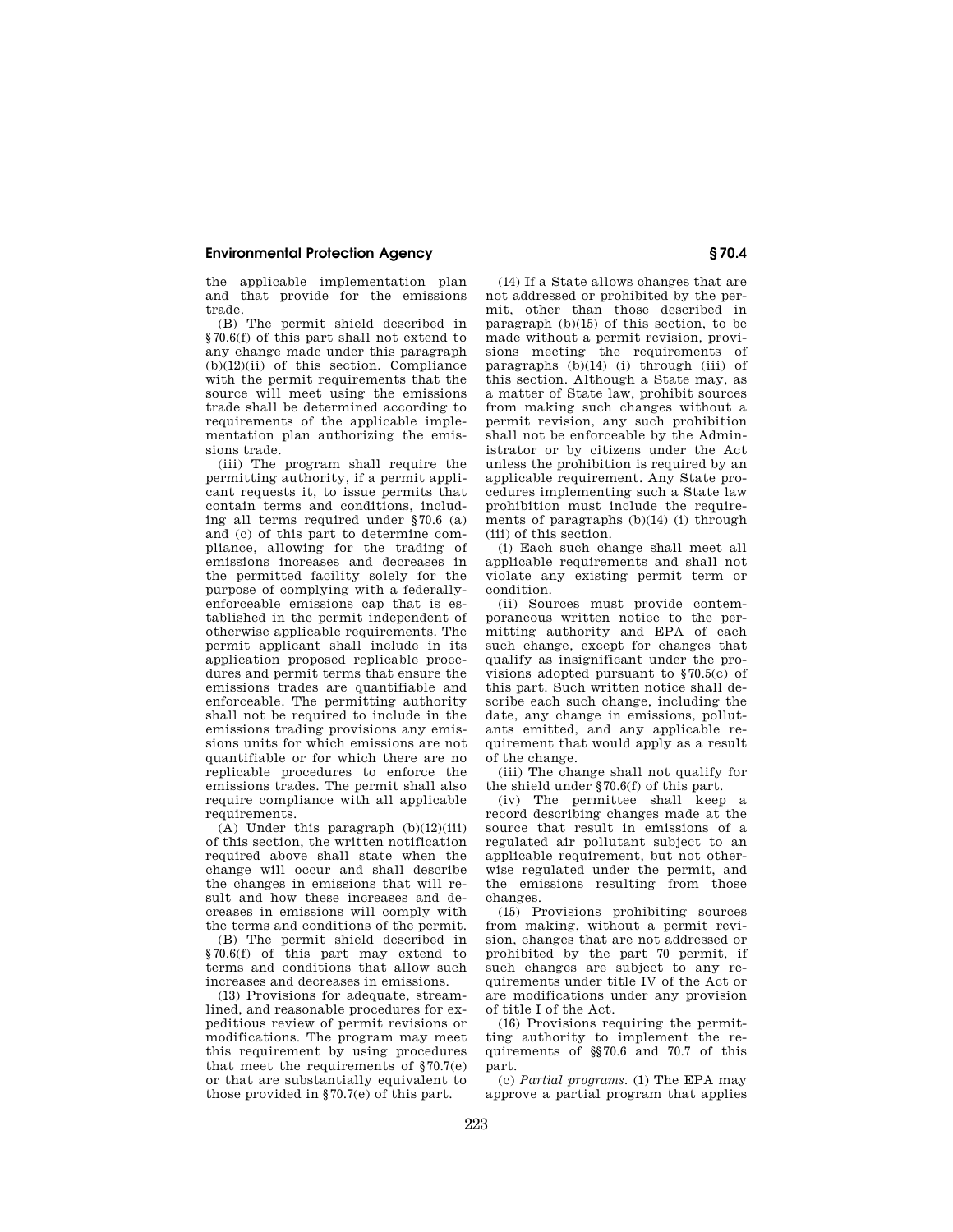the applicable implementation plan and that provide for the emissions trade.

(B) The permit shield described in §70.6(f) of this part shall not extend to any change made under this paragraph (b)(12)(ii) of this section. Compliance with the permit requirements that the source will meet using the emissions trade shall be determined according to requirements of the applicable implementation plan authorizing the emissions trade.

(iii) The program shall require the permitting authority, if a permit applicant requests it, to issue permits that contain terms and conditions, including all terms required under §70.6 (a) and (c) of this part to determine compliance, allowing for the trading of emissions increases and decreases in the permitted facility solely for the purpose of complying with a federallyenforceable emissions cap that is established in the permit independent of otherwise applicable requirements. The permit applicant shall include in its application proposed replicable procedures and permit terms that ensure the emissions trades are quantifiable and enforceable. The permitting authority shall not be required to include in the emissions trading provisions any emissions units for which emissions are not quantifiable or for which there are no replicable procedures to enforce the emissions trades. The permit shall also require compliance with all applicable requirements.

 $(A)$  Under this paragraph  $(b)(12)(iii)$ of this section, the written notification required above shall state when the change will occur and shall describe the changes in emissions that will result and how these increases and decreases in emissions will comply with the terms and conditions of the permit.

(B) The permit shield described in §70.6(f) of this part may extend to terms and conditions that allow such increases and decreases in emissions.

(13) Provisions for adequate, streamlined, and reasonable procedures for expeditious review of permit revisions or modifications. The program may meet this requirement by using procedures that meet the requirements of §70.7(e) or that are substantially equivalent to those provided in §70.7(e) of this part.

(14) If a State allows changes that are not addressed or prohibited by the permit, other than those described in paragraph (b)(15) of this section, to be made without a permit revision, provisions meeting the requirements of paragraphs  $(b)(14)$  (i) through (iii) of this section. Although a State may, as a matter of State law, prohibit sources from making such changes without a permit revision, any such prohibition shall not be enforceable by the Administrator or by citizens under the Act unless the prohibition is required by an applicable requirement. Any State procedures implementing such a State law prohibition must include the requirements of paragraphs  $(b)(14)$  (i) through (iii) of this section.

(i) Each such change shall meet all applicable requirements and shall not violate any existing permit term or condition.

(ii) Sources must provide contemporaneous written notice to the permitting authority and EPA of each such change, except for changes that qualify as insignificant under the provisions adopted pursuant to §70.5(c) of this part. Such written notice shall describe each such change, including the date, any change in emissions, pollutants emitted, and any applicable requirement that would apply as a result of the change.

(iii) The change shall not qualify for the shield under §70.6(f) of this part.

(iv) The permittee shall keep a record describing changes made at the source that result in emissions of a regulated air pollutant subject to an applicable requirement, but not otherwise regulated under the permit, and the emissions resulting from those changes.

(15) Provisions prohibiting sources from making, without a permit revision, changes that are not addressed or prohibited by the part 70 permit, if such changes are subject to any requirements under title IV of the Act or are modifications under any provision of title I of the Act.

(16) Provisions requiring the permitting authority to implement the requirements of §§70.6 and 70.7 of this part.

(c) *Partial programs.* (1) The EPA may approve a partial program that applies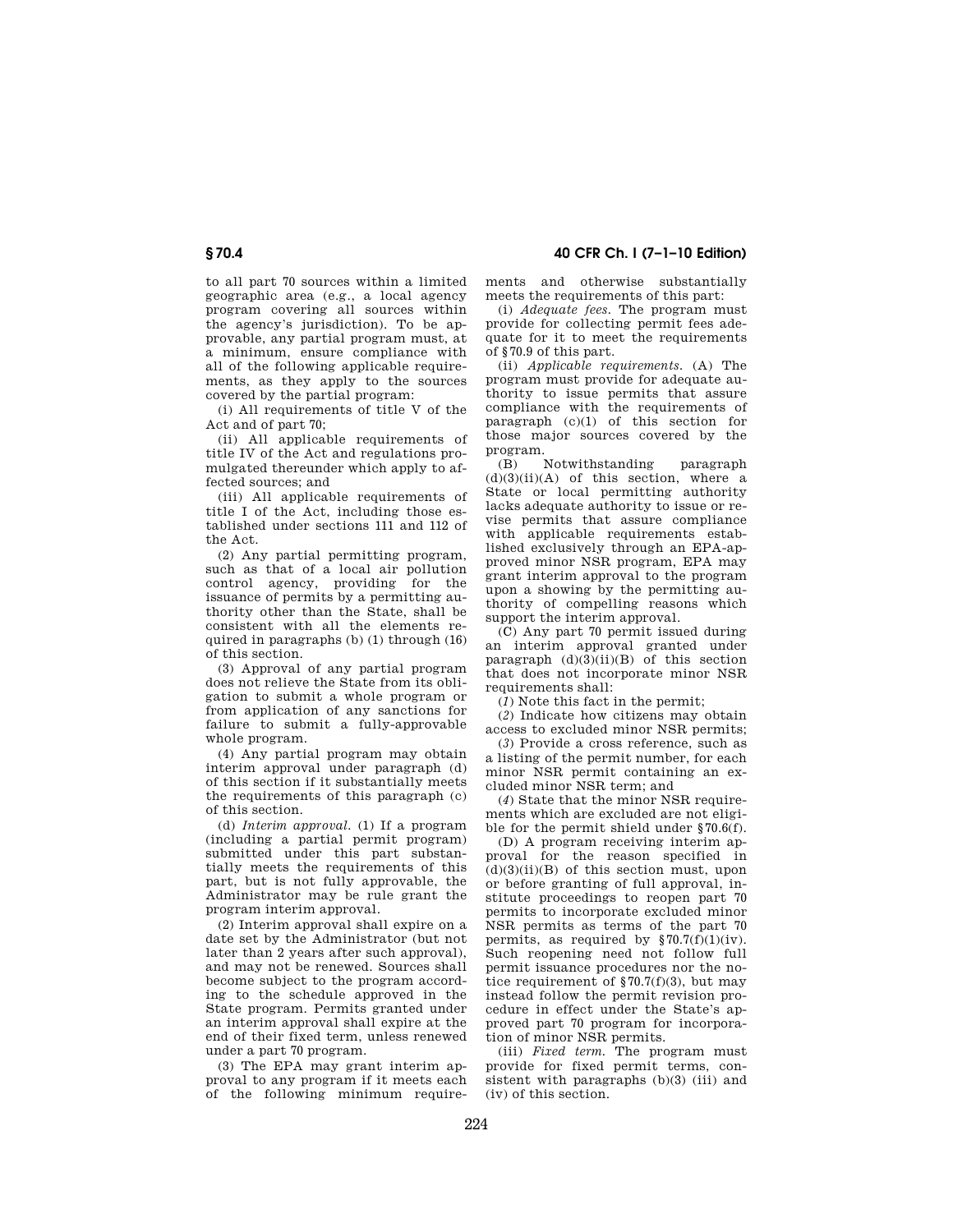**§ 70.4 40 CFR Ch. I (7–1–10 Edition)** 

to all part 70 sources within a limited geographic area (e.g., a local agency program covering all sources within the agency's jurisdiction). To be approvable, any partial program must, at a minimum, ensure compliance with all of the following applicable requirements, as they apply to the sources covered by the partial program:

(i) All requirements of title V of the Act and of part 70;

(ii) All applicable requirements of title IV of the Act and regulations promulgated thereunder which apply to affected sources; and

(iii) All applicable requirements of title I of the Act, including those established under sections 111 and 112 of the Act.

(2) Any partial permitting program, such as that of a local air pollution control agency, providing for the issuance of permits by a permitting authority other than the State, shall be consistent with all the elements required in paragraphs (b) (1) through (16) of this section.

(3) Approval of any partial program does not relieve the State from its obligation to submit a whole program or from application of any sanctions for failure to submit a fully-approvable whole program.

(4) Any partial program may obtain interim approval under paragraph (d) of this section if it substantially meets the requirements of this paragraph (c) of this section.

(d) *Interim approval.* (1) If a program (including a partial permit program) submitted under this part substantially meets the requirements of this part, but is not fully approvable, the Administrator may be rule grant the program interim approval.

(2) Interim approval shall expire on a date set by the Administrator (but not later than 2 years after such approval), and may not be renewed. Sources shall become subject to the program according to the schedule approved in the State program. Permits granted under an interim approval shall expire at the end of their fixed term, unless renewed under a part 70 program.

(3) The EPA may grant interim approval to any program if it meets each of the following minimum requirements and otherwise substantially meets the requirements of this part:

(i) *Adequate fees.* The program must provide for collecting permit fees adequate for it to meet the requirements of §70.9 of this part.

(ii) *Applicable requirements.* (A) The program must provide for adequate authority to issue permits that assure compliance with the requirements of paragraph (c)(1) of this section for those major sources covered by the program.

(B) Notwithstanding paragraph  $(d)(3)(ii)(A)$  of this section, where a State or local permitting authority lacks adequate authority to issue or revise permits that assure compliance with applicable requirements established exclusively through an EPA-approved minor NSR program, EPA may grant interim approval to the program upon a showing by the permitting authority of compelling reasons which support the interim approval.

(C) Any part 70 permit issued during an interim approval granted under paragraph  $(d)(3)(ii)(B)$  of this section that does not incorporate minor NSR requirements shall:

(*1*) Note this fact in the permit;

(*2*) Indicate how citizens may obtain access to excluded minor NSR permits;

(*3*) Provide a cross reference, such as a listing of the permit number, for each minor NSR permit containing an excluded minor NSR term; and

(*4*) State that the minor NSR requirements which are excluded are not eligible for the permit shield under §70.6(f).

(D) A program receiving interim approval for the reason specified in  $(d)(3)(ii)(B)$  of this section must, upon or before granting of full approval, institute proceedings to reopen part 70 permits to incorporate excluded minor NSR permits as terms of the part 70 permits, as required by  $\S 70.7(f)(1)(iv)$ . Such reopening need not follow full permit issuance procedures nor the notice requirement of  $\S 70.7(f)(3)$ , but may instead follow the permit revision procedure in effect under the State's approved part 70 program for incorporation of minor NSR permits.

(iii) *Fixed term.* The program must provide for fixed permit terms, consistent with paragraphs (b)(3) (iii) and (iv) of this section.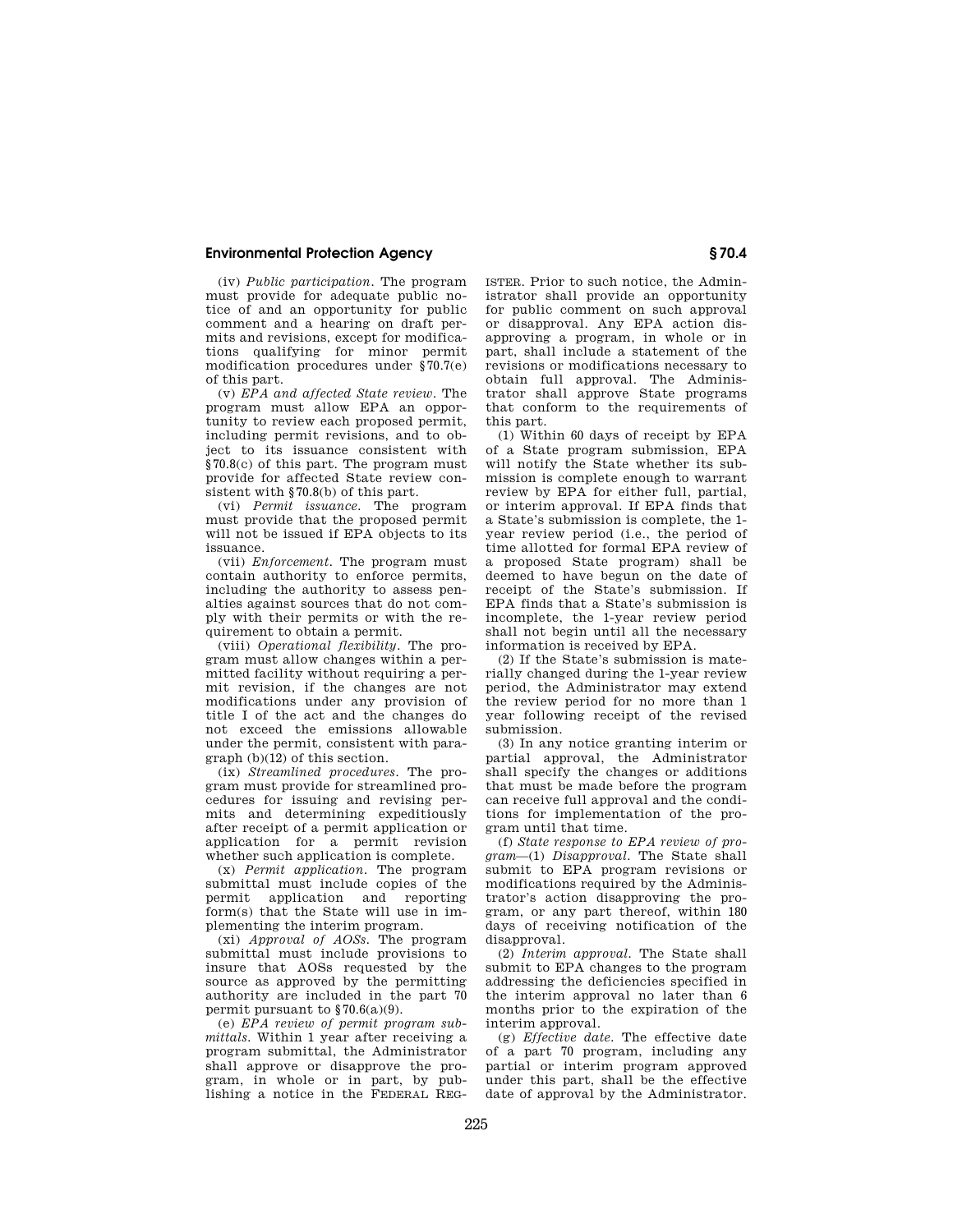(iv) *Public participation.* The program must provide for adequate public notice of and an opportunity for public comment and a hearing on draft permits and revisions, except for modifications qualifying for minor permit modification procedures under §70.7(e) of this part.

(v) *EPA and affected State review.* The program must allow EPA an opportunity to review each proposed permit, including permit revisions, and to object to its issuance consistent with §70.8(c) of this part. The program must provide for affected State review consistent with §70.8(b) of this part.

(vi) *Permit issuance.* The program must provide that the proposed permit will not be issued if EPA objects to its issuance.

(vii) *Enforcement.* The program must contain authority to enforce permits, including the authority to assess penalties against sources that do not comply with their permits or with the requirement to obtain a permit.

(viii) *Operational flexibility.* The program must allow changes within a permitted facility without requiring a permit revision, if the changes are not modifications under any provision of title I of the act and the changes do not exceed the emissions allowable under the permit, consistent with para $graph (b)(12)$  of this section.

(ix) *Streamlined procedures.* The program must provide for streamlined procedures for issuing and revising permits and determining expeditiously after receipt of a permit application or application for a permit revision whether such application is complete.

(x) *Permit application.* The program submittal must include copies of the<br>permit application and reporting permit application form(s) that the State will use in implementing the interim program.

(xi) *Approval of AOSs.* The program submittal must include provisions to insure that AOSs requested by the source as approved by the permitting authority are included in the part 70 permit pursuant to  $§70.6(a)(9)$ .

(e) *EPA review of permit program submittals.* Within 1 year after receiving a program submittal, the Administrator shall approve or disapprove the program, in whole or in part, by publishing a notice in the FEDERAL REG- ISTER. Prior to such notice, the Administrator shall provide an opportunity for public comment on such approval or disapproval. Any EPA action disapproving a program, in whole or in part, shall include a statement of the revisions or modifications necessary to obtain full approval. The Administrator shall approve State programs that conform to the requirements of this part.

(1) Within 60 days of receipt by EPA of a State program submission, EPA will notify the State whether its submission is complete enough to warrant review by EPA for either full, partial, or interim approval. If EPA finds that a State's submission is complete, the 1 year review period (i.e., the period of time allotted for formal EPA review of a proposed State program) shall be deemed to have begun on the date of receipt of the State's submission. If EPA finds that a State's submission is incomplete, the 1-year review period shall not begin until all the necessary information is received by EPA.

(2) If the State's submission is materially changed during the 1-year review period, the Administrator may extend the review period for no more than 1 year following receipt of the revised submission.

(3) In any notice granting interim or partial approval, the Administrator shall specify the changes or additions that must be made before the program can receive full approval and the conditions for implementation of the program until that time.

(f) *State response to EPA review of program*—(1) *Disapproval.* The State shall submit to EPA program revisions or modifications required by the Administrator's action disapproving the program, or any part thereof, within 180 days of receiving notification of the disapproval.

(2) *Interim approval.* The State shall submit to EPA changes to the program addressing the deficiencies specified in the interim approval no later than 6 months prior to the expiration of the interim approval.

(g) *Effective date.* The effective date of a part 70 program, including any partial or interim program approved under this part, shall be the effective date of approval by the Administrator.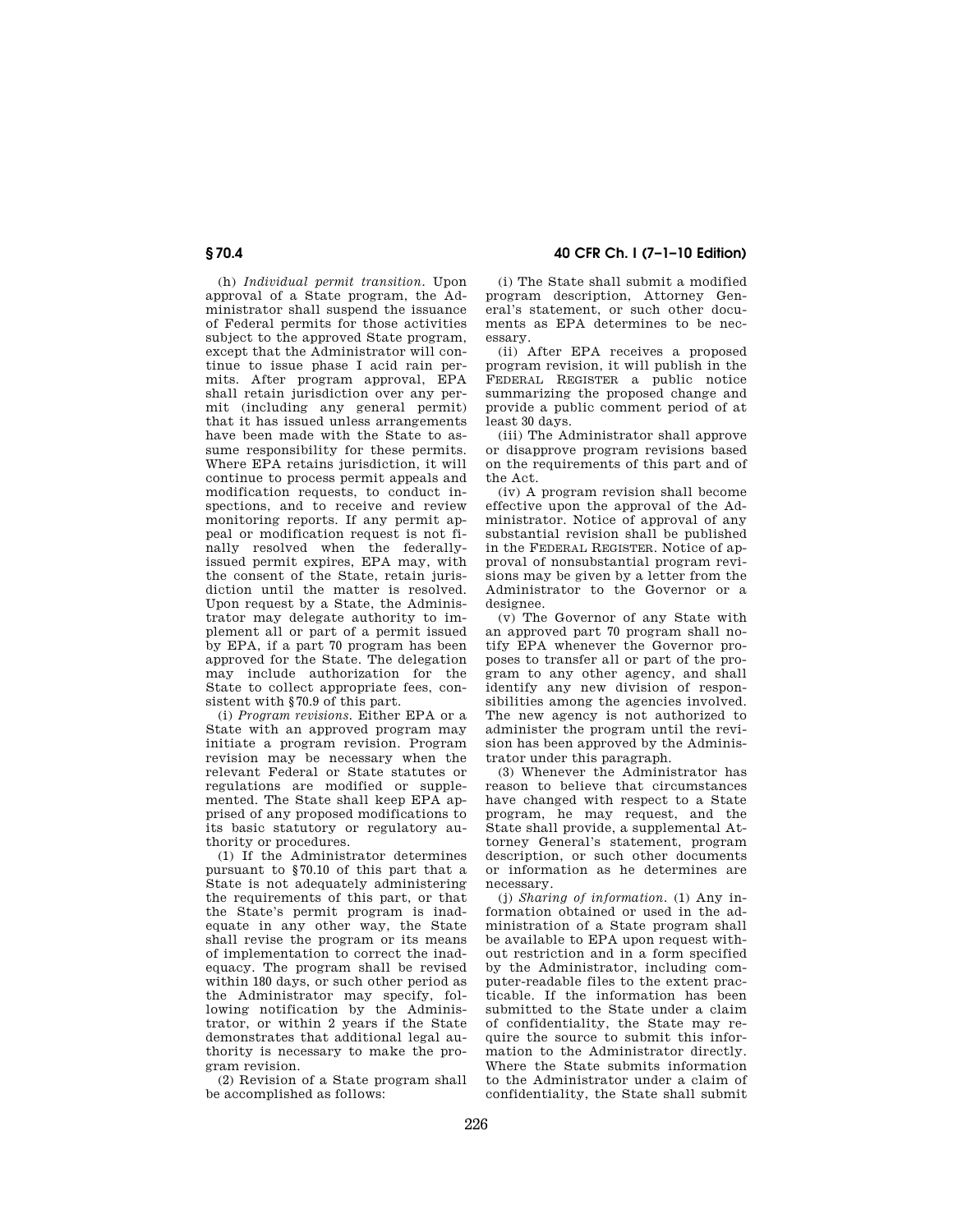**§ 70.4 40 CFR Ch. I (7–1–10 Edition)** 

(h) *Individual permit transition.* Upon approval of a State program, the Administrator shall suspend the issuance of Federal permits for those activities subject to the approved State program, except that the Administrator will continue to issue phase I acid rain permits. After program approval, EPA shall retain jurisdiction over any permit (including any general permit) that it has issued unless arrangements have been made with the State to assume responsibility for these permits. Where EPA retains jurisdiction, it will continue to process permit appeals and modification requests, to conduct inspections, and to receive and review monitoring reports. If any permit appeal or modification request is not finally resolved when the federallyissued permit expires, EPA may, with the consent of the State, retain jurisdiction until the matter is resolved. Upon request by a State, the Administrator may delegate authority to implement all or part of a permit issued by EPA, if a part 70 program has been approved for the State. The delegation may include authorization for the State to collect appropriate fees, consistent with §70.9 of this part.

(i) *Program revisions.* Either EPA or a State with an approved program may initiate a program revision. Program revision may be necessary when the relevant Federal or State statutes or regulations are modified or supplemented. The State shall keep EPA apprised of any proposed modifications to its basic statutory or regulatory authority or procedures.

(1) If the Administrator determines pursuant to §70.10 of this part that a State is not adequately administering the requirements of this part, or that the State's permit program is inadequate in any other way, the State shall revise the program or its means of implementation to correct the inadequacy. The program shall be revised within 180 days, or such other period as the Administrator may specify, following notification by the Administrator, or within 2 years if the State demonstrates that additional legal authority is necessary to make the program revision.

(2) Revision of a State program shall be accomplished as follows:

(i) The State shall submit a modified program description, Attorney General's statement, or such other documents as EPA determines to be necessary.

(ii) After EPA receives a proposed program revision, it will publish in the FEDERAL REGISTER a public notice summarizing the proposed change and provide a public comment period of at least 30 days.

(iii) The Administrator shall approve or disapprove program revisions based on the requirements of this part and of the Act.

(iv) A program revision shall become effective upon the approval of the Administrator. Notice of approval of any substantial revision shall be published in the FEDERAL REGISTER. Notice of approval of nonsubstantial program revisions may be given by a letter from the Administrator to the Governor or a designee.

(v) The Governor of any State with an approved part 70 program shall notify EPA whenever the Governor proposes to transfer all or part of the program to any other agency, and shall identify any new division of responsibilities among the agencies involved. The new agency is not authorized to administer the program until the revision has been approved by the Administrator under this paragraph.

(3) Whenever the Administrator has reason to believe that circumstances have changed with respect to a State program, he may request, and the State shall provide, a supplemental Attorney General's statement, program description, or such other documents or information as he determines are necessary.

(j) *Sharing of information.* (1) Any information obtained or used in the administration of a State program shall be available to EPA upon request without restriction and in a form specified by the Administrator, including computer-readable files to the extent practicable. If the information has been submitted to the State under a claim of confidentiality, the State may require the source to submit this information to the Administrator directly. Where the State submits information to the Administrator under a claim of confidentiality, the State shall submit